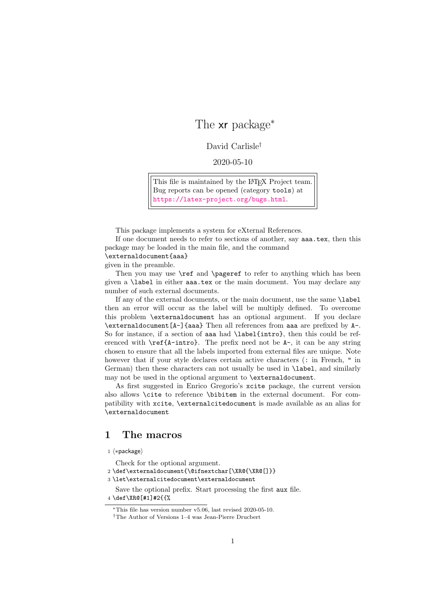## The xr package<sup>∗</sup>

## David Carlisle†

## 2020-05-10

This file is maintained by the L<sup>AT</sup>EX Project team. Bug reports can be opened (category tools) at <https://latex-project.org/bugs.html>.

This package implements a system for eXternal References.

If one document needs to refer to sections of another, say aaa.tex, then this package may be loaded in the main file, and the command

\externaldocument{aaa}

given in the preamble.

Then you may use  $\ref{$  and  $\text{paper}$  to refer to anything which has been given a \label in either aaa.tex or the main document. You may declare any number of such external documents.

If any of the external documents, or the main document, use the same \label then an error will occur as the label will be multiply defined. To overcome this problem \externaldocument has an optional argument. If you declare \externaldocument[A-]{aaa} Then all references from aaa are prefixed by A-. So for instance, if a section of aaa had \label{intro}, then this could be referenced with  $\ref{A-intro}$ . The prefix need not be A-, it can be any string chosen to ensure that all the labels imported from external files are unique. Note however that if your style declares certain active characters (: in French, " in German) then these characters can not usually be used in \label, and similarly may not be used in the optional argument to \externaldocument.

As first suggested in Enrico Gregorio's xcite package, the current version also allows \cite to reference \bibitem in the external document. For compatibility with xcite, \externalcitedocument is made available as an alias for \externaldocument

## 1 The macros

1 ⟨∗package⟩

Check for the optional argument.

2 \def\externaldocument{\@ifnextchar[\XR@{\XR@[]}}

3 \let\externalcitedocument\externaldocument

Save the optional prefix. Start processing the first aux file. 4 \def\XR@[#1]#2{{%

<sup>∗</sup>This file has version number v5.06, last revised 2020-05-10.

<sup>†</sup>The Author of Versions 1–4 was Jean-Pierre Drucbert